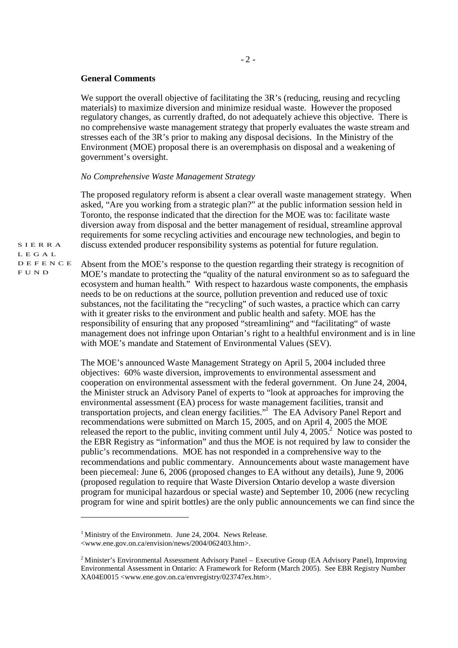#### **General Comments**

We support the overall objective of facilitating the 3R's (reducing, reusing and recycling materials) to maximize diversion and minimize residual waste. However the proposed regulatory changes, as currently drafted, do not adequately achieve this objective. There is no comprehensive waste management strategy that properly evaluates the waste stream and stresses each of the 3R's prior to making any disposal decisions. In the Ministry of the Environment (MOE) proposal there is an overemphasis on disposal and a weakening of government's oversight.

#### *No Comprehensive Waste Management Strategy*

The proposed regulatory reform is absent a clear overall waste management strategy. When asked, "Are you working from a strategic plan?" at the public information session held in Toronto, the response indicated that the direction for the MOE was to: facilitate waste diversion away from disposal and the better management of residual, streamline approval requirements for some recycling activities and encourage new technologies, and begin to discuss extended producer responsibility systems as potential for future regulation.

S I E R R A L E G A L D E F E N C E F U N D

Absent from the MOE's response to the question regarding their strategy is recognition of MOE's mandate to protecting the "quality of the natural environment so as to safeguard the ecosystem and human health." With respect to hazardous waste components, the emphasis needs to be on reductions at the source, pollution prevention and reduced use of toxic substances, not the facilitating the "recycling" of such wastes, a practice which can carry with it greater risks to the environment and public health and safety. MOE has the responsibility of ensuring that any proposed "streamlining" and "facilitating" of waste management does not infringe upon Ontarian's right to a healthful environment and is in line with MOE's mandate and Statement of Environmental Values (SEV).

The MOE's announced Waste Management Strategy on April 5, 2004 included three objectives: 60% waste diversion, improvements to environmental assessment and cooperation on environmental assessment with the federal government. On June 24, 2004, the Minister struck an Advisory Panel of experts to "look at approaches for improving the environmental assessment (EA) process for waste management facilities, transit and transportation projects, and clean energy facilities." The EA Advisory Panel Report and recommendations were submitted on March 15, 2005, and on April 4, 2005 the MOE released the report to the public, inviting comment until July 4,  $2005.<sup>2</sup>$  Notice was posted to the EBR Registry as "information" and thus the MOE is not required by law to consider the public's recommendations. MOE has not responded in a comprehensive way to the recommendations and public commentary. Announcements about waste management have been piecemeal: June 6, 2006 (proposed changes to EA without any details), June 9, 2006 (proposed regulation to require that Waste Diversion Ontario develop a waste diversion program for municipal hazardous or special waste) and September 10, 2006 (new recycling program for wine and spirit bottles) are the only public announcements we can find since the

<sup>&</sup>lt;sup>1</sup> Ministry of the Environmetn. June 24, 2004. News Release. <www.ene.gov.on.ca/envision/news/2004/062403.htm>.

<sup>&</sup>lt;sup>2</sup> Minister's Environmental Assessment Advisory Panel – Executive Group (EA Advisory Panel). Improving Environmental Assessment in Ontario: A Framework for Reform (March 2005). See EBR Registry Number XA04E0015 <www.ene.gov.on.ca/envregistry/023747ex.htm>.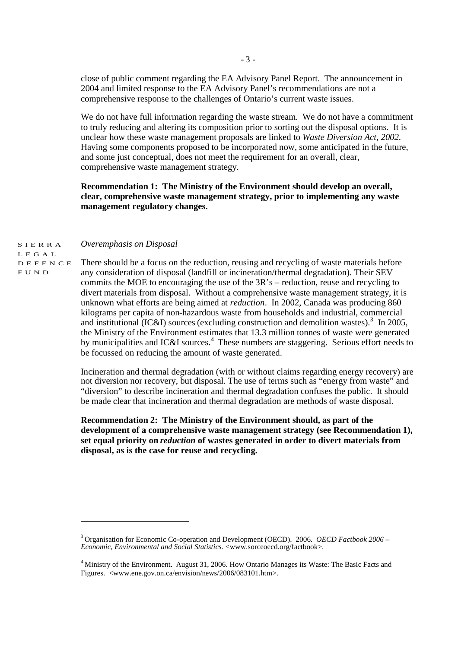close of public comment regarding the EA Advisory Panel Report. The announcement in 2004 and limited response to the EA Advisory Panel's recommendations are not a comprehensive response to the challenges of Ontario's current waste issues.

We do not have full information regarding the waste stream. We do not have a commitment to truly reducing and altering its composition prior to sorting out the disposal options. It is unclear how these waste management proposals are linked to *Waste Diversion Act, 2002*. Having some components proposed to be incorporated now, some anticipated in the future, and some just conceptual, does not meet the requirement for an overall, clear, comprehensive waste management strategy.

## **Recommendation 1: The Ministry of the Environment should develop an overall, clear, comprehensive waste management strategy, prior to implementing any waste management regulatory changes.**

#### S I E R R A *Overemphasis on Disposal*

L E G A L D E F E N C E F U N D

There should be a focus on the reduction, reusing and recycling of waste materials before any consideration of disposal (landfill or incineration/thermal degradation). Their SEV commits the MOE to encouraging the use of the 3R's – reduction, reuse and recycling to divert materials from disposal. Without a comprehensive waste management strategy, it is unknown what efforts are being aimed at *reduction*. In 2002, Canada was producing 860 kilograms per capita of non-hazardous waste from households and industrial, commercial and institutional (IC&I) sources (excluding construction and demolition wastes).<sup>3</sup> In 2005, the Ministry of the Environment estimates that 13.3 million tonnes of waste were generated by municipalities and IC&I sources.<sup>4</sup> These numbers are staggering. Serious effort needs to be focussed on reducing the amount of waste generated.

Incineration and thermal degradation (with or without claims regarding energy recovery) are not diversion nor recovery, but disposal. The use of terms such as "energy from waste" and "diversion" to describe incineration and thermal degradation confuses the public. It should be made clear that incineration and thermal degradation are methods of waste disposal.

**Recommendation 2: The Ministry of the Environment should, as part of the development of a comprehensive waste management strategy (see Recommendation 1), set equal priority on** *reduction* **of wastes generated in order to divert materials from disposal, as is the case for reuse and recycling.** 

<sup>3</sup> Organisation for Economic Co-operation and Development (OECD). 2006. *OECD Factbook 2006 – Economic, Environmental and Social Statistics.* <www.sorceoecd.org/factbook>.

<sup>&</sup>lt;sup>4</sup> Ministry of the Environment. August 31, 2006. How Ontario Manages its Waste: The Basic Facts and Figures. <www.ene.gov.on.ca/envision/news/2006/083101.htm>.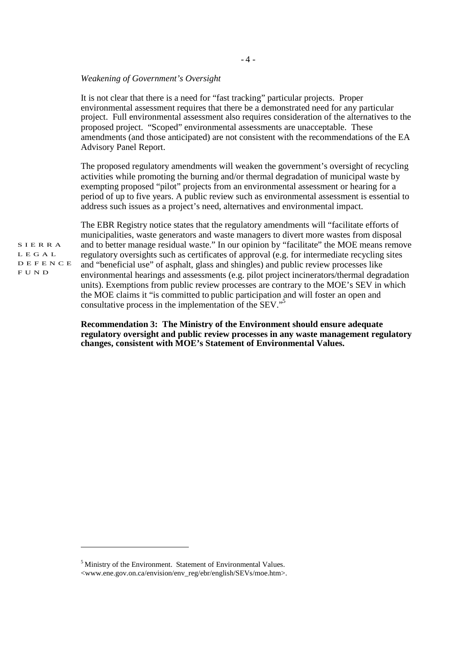#### *Weakening of Government's Oversight*

It is not clear that there is a need for "fast tracking" particular projects. Proper environmental assessment requires that there be a demonstrated need for any particular project. Full environmental assessment also requires consideration of the alternatives to the proposed project. "Scoped" environmental assessments are unacceptable. These amendments (and those anticipated) are not consistent with the recommendations of the EA Advisory Panel Report.

The proposed regulatory amendments will weaken the government's oversight of recycling activities while promoting the burning and/or thermal degradation of municipal waste by exempting proposed "pilot" projects from an environmental assessment or hearing for a period of up to five years. A public review such as environmental assessment is essential to address such issues as a project's need, alternatives and environmental impact.

S I E R R A L E G A L D E F E N C E F U N D

The EBR Registry notice states that the regulatory amendments will "facilitate efforts of municipalities, waste generators and waste managers to divert more wastes from disposal and to better manage residual waste." In our opinion by "facilitate" the MOE means remove regulatory oversights such as certificates of approval (e.g. for intermediate recycling sites and "beneficial use" of asphalt, glass and shingles) and public review processes like environmental hearings and assessments (e.g. pilot project incinerators/thermal degradation units). Exemptions from public review processes are contrary to the MOE's SEV in which the MOE claims it "is committed to public participation and will foster an open and consultative process in the implementation of the SEV." 5

**Recommendation 3: The Ministry of the Environment should ensure adequate regulatory oversight and public review processes in any waste management regulatory changes, consistent with MOE's Statement of Environmental Values.** 

<sup>&</sup>lt;sup>5</sup> Ministry of the Environment. Statement of Environmental Values. <www.ene.gov.on.ca/envision/env\_reg/ebr/english/SEVs/moe.htm>.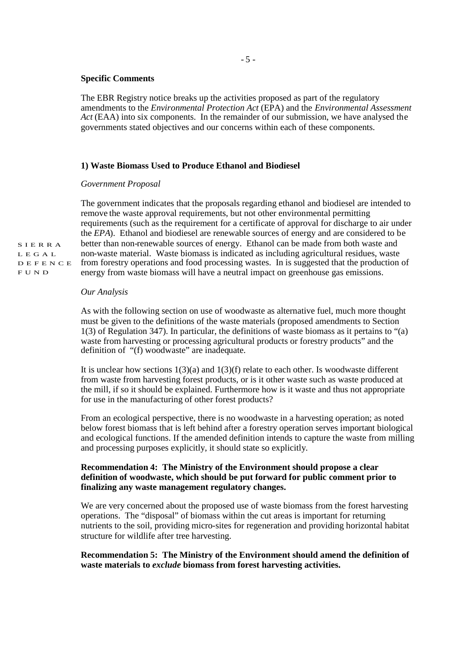## **Specific Comments**

The EBR Registry notice breaks up the activities proposed as part of the regulatory amendments to the *Environmental Protection Act* (EPA) and the *Environmental Assessment Act* (EAA) into six components. In the remainder of our submission, we have analysed the governments stated objectives and our concerns within each of these components.

## **1) Waste Biomass Used to Produce Ethanol and Biodiesel**

#### *Government Proposal*

The government indicates that the proposals regarding ethanol and biodiesel are intended to remove the waste approval requirements, but not other environmental permitting requirements (such as the requirement for a certificate of approval for discharge to air under the *EPA*). Ethanol and biodiesel are renewable sources of energy and are considered to be better than non-renewable sources of energy. Ethanol can be made from both waste and non-waste material. Waste biomass is indicated as including agricultural residues, waste from forestry operations and food processing wastes. In is suggested that the production of energy from waste biomass will have a neutral impact on greenhouse gas emissions.

#### *Our Analysis*

As with the following section on use of woodwaste as alternative fuel, much more thought must be given to the definitions of the waste materials (proposed amendments to Section 1(3) of Regulation 347). In particular, the definitions of waste biomass as it pertains to "(a) waste from harvesting or processing agricultural products or forestry products" and the definition of "(f) woodwaste" are inadequate.

It is unclear how sections  $1(3)(a)$  and  $1(3)(f)$  relate to each other. Is woodwaste different from waste from harvesting forest products, or is it other waste such as waste produced at the mill, if so it should be explained. Furthermore how is it waste and thus not appropriate for use in the manufacturing of other forest products?

From an ecological perspective, there is no woodwaste in a harvesting operation; as noted below forest biomass that is left behind after a forestry operation serves important biological and ecological functions. If the amended definition intends to capture the waste from milling and processing purposes explicitly, it should state so explicitly.

## **Recommendation 4: The Ministry of the Environment should propose a clear definition of woodwaste, which should be put forward for public comment prior to finalizing any waste management regulatory changes.**

We are very concerned about the proposed use of waste biomass from the forest harvesting operations. The "disposal" of biomass within the cut areas is important for returning nutrients to the soil, providing micro-sites for regeneration and providing horizontal habitat structure for wildlife after tree harvesting.

## **Recommendation 5: The Ministry of the Environment should amend the definition of waste materials to** *exclude* **biomass from forest harvesting activities.**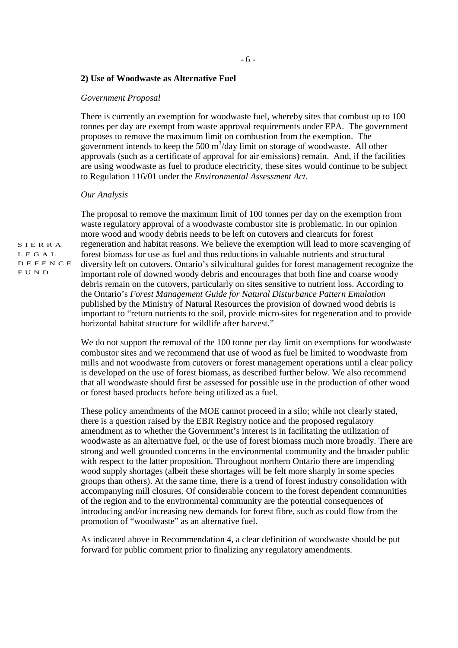## **2) Use of Woodwaste as Alternative Fuel**

#### *Government Proposal*

There is currently an exemption for woodwaste fuel, whereby sites that combust up to 100 tonnes per day are exempt from waste approval requirements under EPA. The government proposes to remove the maximum limit on combustion from the exemption. The government intends to keep the 500  $\text{m}^3$ /day limit on storage of woodwaste. All other approvals (such as a certificate of approval for air emissions) remain. And, if the facilities are using woodwaste as fuel to produce electricity, these sites would continue to be subject to Regulation 116/01 under the *Environmental Assessment Act*.

#### *Our Analysis*

The proposal to remove the maximum limit of 100 tonnes per day on the exemption from waste regulatory approval of a woodwaste combustor site is problematic. In our opinion more wood and woody debris needs to be left on cutovers and clearcuts for forest regeneration and habitat reasons. We believe the exemption will lead to more scavenging of forest biomass for use as fuel and thus reductions in valuable nutrients and structural diversity left on cutovers. Ontario's silvicultural guides for forest management recognize the important role of downed woody debris and encourages that both fine and coarse woody debris remain on the cutovers, particularly on sites sensitive to nutrient loss. According to the Ontario's *Forest Management Guide for Natural Disturbance Pattern Emulation*  published by the Ministry of Natural Resources the provision of downed wood debris is important to "return nutrients to the soil, provide micro-sites for regeneration and to provide horizontal habitat structure for wildlife after harvest."

We do not support the removal of the 100 tonne per day limit on exemptions for woodwaste combustor sites and we recommend that use of wood as fuel be limited to woodwaste from mills and not woodwaste from cutovers or forest management operations until a clear policy is developed on the use of forest biomass, as described further below. We also recommend that all woodwaste should first be assessed for possible use in the production of other wood or forest based products before being utilized as a fuel.

These policy amendments of the MOE cannot proceed in a silo; while not clearly stated, there is a question raised by the EBR Registry notice and the proposed regulatory amendment as to whether the Government's interest is in facilitating the utilization of woodwaste as an alternative fuel, or the use of forest biomass much more broadly. There are strong and well grounded concerns in the environmental community and the broader public with respect to the latter proposition. Throughout northern Ontario there are impending wood supply shortages (albeit these shortages will be felt more sharply in some species groups than others). At the same time, there is a trend of forest industry consolidation with accompanying mill closures. Of considerable concern to the forest dependent communities of the region and to the environmental community are the potential consequences of introducing and/or increasing new demands for forest fibre, such as could flow from the promotion of "woodwaste" as an alternative fuel.

As indicated above in Recommendation 4, a clear definition of woodwaste should be put forward for public comment prior to finalizing any regulatory amendments.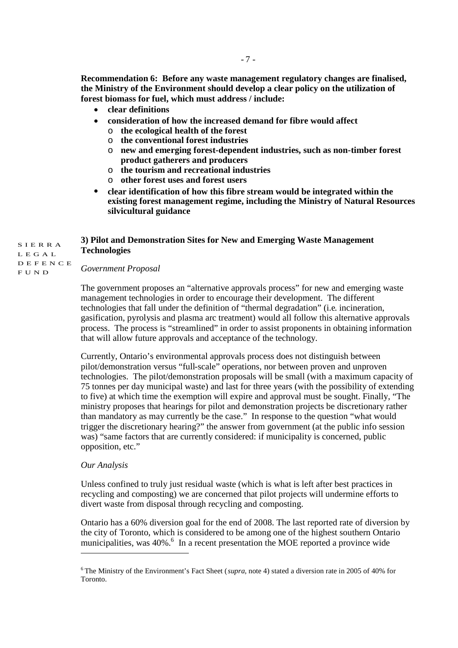**the Ministry of the Environment should develop a clear policy on the utilization of forest biomass for fuel, which must address / include:**

- **clear definitions**
- **consideration of how the increased demand for fibre would affect**
	- o **the ecological health of the forest**
	- o **the conventional forest industries**
	- o **new and emerging forest-dependent industries, such as non-timber forest product gatherers and producers**
	- o **the tourism and recreational industries**
	- o **other forest uses and forest users**
- **clear identification of how this fibre stream would be integrated within the existing forest management regime, including the Ministry of Natural Resources silvicultural guidance**

# **3) Pilot and Demonstration Sites for New and Emerging Waste Management Technologies**

S I E R R A L E G A L D E F E N C E F U N D

# *Government Proposal*

The government proposes an "alternative approvals process" for new and emerging waste management technologies in order to encourage their development. The different technologies that fall under the definition of "thermal degradation" (i.e. incineration, gasification, pyrolysis and plasma arc treatment) would all follow this alternative approvals process. The process is "streamlined" in order to assist proponents in obtaining information that will allow future approvals and acceptance of the technology.

Currently, Ontario's environmental approvals process does not distinguish between pilot/demonstration versus "full-scale" operations, nor between proven and unproven technologies. The pilot/demonstration proposals will be small (with a maximum capacity of 75 tonnes per day municipal waste) and last for three years (with the possibility of extending to five) at which time the exemption will expire and approval must be sought. Finally, "The ministry proposes that hearings for pilot and demonstration projects be discretionary rather than mandatory as may currently be the case." In response to the question "what would trigger the discretionary hearing?" the answer from government (at the public info session was) "same factors that are currently considered: if municipality is concerned, public opposition, etc."

## *Our Analysis*

Unless confined to truly just residual waste (which is what is left after best practices in recycling and composting) we are concerned that pilot projects will undermine efforts to divert waste from disposal through recycling and composting.

Ontario has a 60% diversion goal for the end of 2008. The last reported rate of diversion by the city of Toronto, which is considered to be among one of the highest southern Ontario municipalities, was 40%.<sup>6</sup> In a recent presentation the MOE reported a province wide

<sup>6</sup> The Ministry of the Environment's Fact Sheet (*supra*, note 4) stated a diversion rate in 2005 of 40% for Toronto.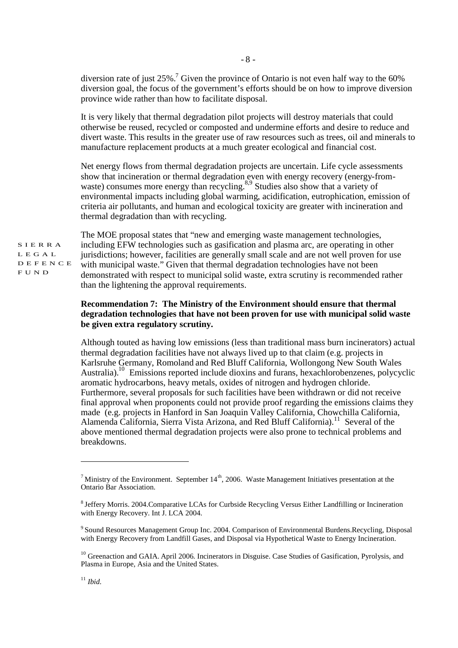diversion rate of just 25%.<sup>7</sup> Given the province of Ontario is not even half way to the 60% diversion goal, the focus of the government's efforts should be on how to improve diversion province wide rather than how to facilitate disposal.

- 8 -

It is very likely that thermal degradation pilot projects will destroy materials that could otherwise be reused, recycled or composted and undermine efforts and desire to reduce and divert waste. This results in the greater use of raw resources such as trees, oil and minerals to manufacture replacement products at a much greater ecological and financial cost.

Net energy flows from thermal degradation projects are uncertain. Life cycle assessments show that incineration or thermal degradation even with energy recovery (energy-fromwaste) consumes more energy than recycling.<sup>8,9</sup> Studies also show that a variety of environmental impacts including global warming, acidification, eutrophication, emission of criteria air pollutants, and human and ecological toxicity are greater with incineration and thermal degradation than with recycling.

S I E R R A L E G A L D E F E N C E F U N D

The MOE proposal states that "new and emerging waste management technologies, including EFW technologies such as gasification and plasma arc, are operating in other jurisdictions; however, facilities are generally small scale and are not well proven for use with municipal waste." Given that thermal degradation technologies have not been demonstrated with respect to municipal solid waste, extra scrutiny is recommended rather than the lightening the approval requirements.

# **Recommendation 7: The Ministry of the Environment should ensure that thermal degradation technologies that have not been proven for use with municipal solid waste be given extra regulatory scrutiny.**

Although touted as having low emissions (less than traditional mass burn incinerators) actual thermal degradation facilities have not always lived up to that claim (e.g. projects in Karlsruhe Germany, Romoland and Red Bluff California, Wollongong New South Wales Australia).<sup>10</sup> Emissions reported include dioxins and furans, hexachlorobenzenes, polycyclic aromatic hydrocarbons, heavy metals, oxides of nitrogen and hydrogen chloride. Furthermore, several proposals for such facilities have been withdrawn or did not receive final approval when proponents could not provide proof regarding the emissions claims they made (e.g. projects in Hanford in San Joaquin Valley California, Chowchilla California, Alamenda California, Sierra Vista Arizona, and Red Bluff California).<sup>11</sup> Several of the above mentioned thermal degradation projects were also prone to technical problems and breakdowns.

<sup>&</sup>lt;sup>7</sup> Ministry of the Environment. September  $14<sup>th</sup>$ , 2006. Waste Management Initiatives presentation at the Ontario Bar Association.

<sup>8</sup> Jeffery Morris. 2004.Comparative LCAs for Curbside Recycling Versus Either Landfilling or Incineration with Energy Recovery. Int J. LCA 2004.

<sup>9</sup> Sound Resources Management Group Inc. 2004. Comparison of Environmental Burdens.Recycling, Disposal with Energy Recovery from Landfill Gases, and Disposal via Hypothetical Waste to Energy Incineration.

<sup>&</sup>lt;sup>10</sup> Greenaction and GAIA. April 2006. Incinerators in Disguise. Case Studies of Gasification. Pyrolysis, and Plasma in Europe, Asia and the United States.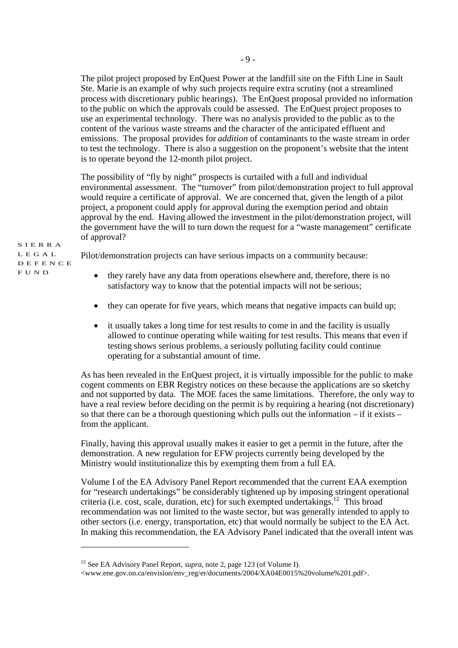The pilot project proposed by EnQuest Power at the landfill site on the Fifth Line in Sault Ste. Marie is an example of why such projects require extra scrutiny (not a streamlined process with discretionary public hearings). The EnQuest proposal provided no information to the public on which the approvals could be assessed. The EnQuest project proposes to use an experimental technology. There was no analysis provided to the public as to the content of the various waste streams and the character of the anticipated effluent and emissions. The proposal provides for *addition* of contaminants to the waste stream in order to test the technology. There is also a suggestion on the proponent's website that the intent is to operate beyond the 12-month pilot project.

The possibility of "fly by night" prospects is curtailed with a full and individual environmental assessment. The "turnover" from pilot/demonstration project to full approval would require a certificate of approval. We are concerned that, given the length of a pilot project, a proponent could apply for approval during the exemption period and obtain approval by the end. Having allowed the investment in the pilot/demonstration project, will the government have the will to turn down the request for a "waste management" certificate of approval?

Pilot/demonstration projects can have serious impacts on a community because:

- they rarely have any data from operations elsewhere and, therefore, there is no satisfactory way to know that the potential impacts will not be serious;
- they can operate for five years, which means that negative impacts can build up;
- it usually takes a long time for test results to come in and the facility is usually allowed to continue operating while waiting for test results. This means that even if testing shows serious problems, a seriously polluting facility could continue operating for a substantial amount of time.

As has been revealed in the EnQuest project, it is virtually impossible for the public to make cogent comments on EBR Registry notices on these because the applications are so sketchy and not supported by data. The MOE faces the same limitations. Therefore, the only way to have a real review before deciding on the permit is by requiring a hearing (not discretionary) so that there can be a thorough questioning which pulls out the information – if it exists – from the applicant.

Finally, having this approval usually makes it easier to get a permit in the future, after the demonstration. A new regulation for EFW projects currently being developed by the Ministry would institutionalize this by exempting them from a full EA.

Volume I of the EA Advisory Panel Report recommended that the current EAA exemption for "research undertakings" be considerably tightened up by imposing stringent operational criteria (i.e. cost, scale, duration, etc) for such exempted undertakings.<sup>12</sup> This broad recommendation was not limited to the waste sector, but was generally intended to apply to other sectors (i.e. energy, transportation, etc) that would normally be subject to the EA Act. In making this recommendation, the EA Advisory Panel indicated that the overall intent was

<sup>&</sup>lt;sup>12</sup> See EA Advisory Panel Report, *supra*, note 2, page 123 (of Volume I).

<sup>&</sup>lt;www.ene.gov.on.ca/envision/env\_reg/er/documents/2004/XA04E0015%20volume%201.pdf>.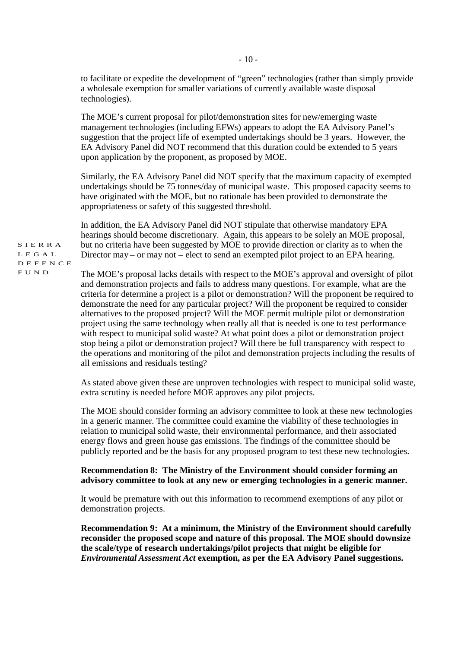to facilitate or expedite the development of "green" technologies (rather than simply provide a wholesale exemption for smaller variations of currently available waste disposal technologies).

The MOE's current proposal for pilot/demonstration sites for new/emerging waste management technologies (including EFWs) appears to adopt the EA Advisory Panel's suggestion that the project life of exempted undertakings should be 3 years. However, the EA Advisory Panel did NOT recommend that this duration could be extended to 5 years upon application by the proponent, as proposed by MOE.

Similarly, the EA Advisory Panel did NOT specify that the maximum capacity of exempted undertakings should be 75 tonnes/day of municipal waste. This proposed capacity seems to have originated with the MOE, but no rationale has been provided to demonstrate the appropriateness or safety of this suggested threshold.

In addition, the EA Advisory Panel did NOT stipulate that otherwise mandatory EPA hearings should become discretionary. Again, this appears to be solely an MOE proposal, but no criteria have been suggested by MOE to provide direction or clarity as to when the Director may – or may not – elect to send an exempted pilot project to an EPA hearing.

The MOE's proposal lacks details with respect to the MOE's approval and oversight of pilot and demonstration projects and fails to address many questions. For example, what are the criteria for determine a project is a pilot or demonstration? Will the proponent be required to demonstrate the need for any particular project? Will the proponent be required to consider alternatives to the proposed project? Will the MOE permit multiple pilot or demonstration project using the same technology when really all that is needed is one to test performance with respect to municipal solid waste? At what point does a pilot or demonstration project stop being a pilot or demonstration project? Will there be full transparency with respect to the operations and monitoring of the pilot and demonstration projects including the results of all emissions and residuals testing?

As stated above given these are unproven technologies with respect to municipal solid waste, extra scrutiny is needed before MOE approves any pilot projects.

The MOE should consider forming an advisory committee to look at these new technologies in a generic manner. The committee could examine the viability of these technologies in relation to municipal solid waste, their environmental performance, and their associated energy flows and green house gas emissions. The findings of the committee should be publicly reported and be the basis for any proposed program to test these new technologies.

## **Recommendation 8: The Ministry of the Environment should consider forming an advisory committee to look at any new or emerging technologies in a generic manner.**

It would be premature with out this information to recommend exemptions of any pilot or demonstration projects.

**Recommendation 9: At a minimum, the Ministry of the Environment should carefully reconsider the proposed scope and nature of this proposal. The MOE should downsize the scale/type of research undertakings/pilot projects that might be eligible for**  *Environmental Assessment Act* **exemption, as per the EA Advisory Panel suggestions.**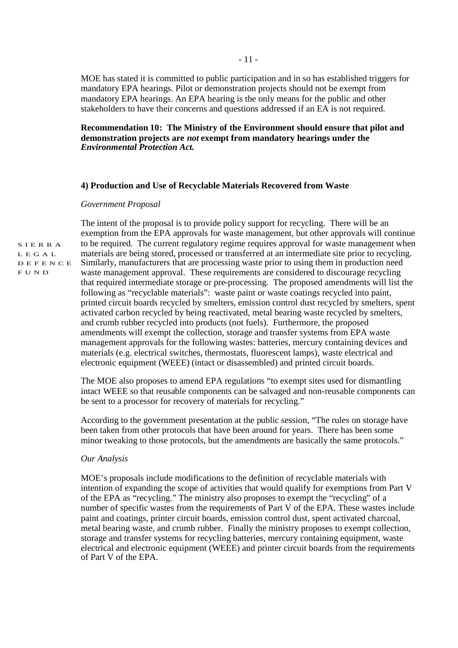MOE has stated it is committed to public participation and in so has established triggers for mandatory EPA hearings. Pilot or demonstration projects should not be exempt from mandatory EPA hearings. An EPA hearing is the only means for the public and other stakeholders to have their concerns and questions addressed if an EA is not required.

## **Recommendation 10: The Ministry of the Environment should ensure that pilot and demonstration projects are** *not* **exempt from mandatory hearings under the**  *Environmental Protection Act***.**

## **4) Production and Use of Recyclable Materials Recovered from Waste**

## *Government Proposal*

The intent of the proposal is to provide policy support for recycling. There will be an exemption from the EPA approvals for waste management, but other approvals will continue to be required. The current regulatory regime requires approval for waste management when materials are being stored, processed or transferred at an intermediate site prior to recycling. Similarly, manufacturers that are processing waste prior to using them in production need waste management approval. These requirements are considered to discourage recycling that required intermediate storage or pre-processing. The proposed amendments will list the following as "recyclable materials": waste paint or waste coatings recycled into paint, printed circuit boards recycled by smelters, emission control dust recycled by smelters, spent activated carbon recycled by being reactivated, metal bearing waste recycled by smelters, and crumb rubber recycled into products (not fuels). Furthermore, the proposed amendments will exempt the collection, storage and transfer systems from EPA waste management approvals for the following wastes: batteries, mercury containing devices and materials (e.g. electrical switches, thermostats, fluorescent lamps), waste electrical and electronic equipment (WEEE) (intact or disassembled) and printed circuit boards.

The MOE also proposes to amend EPA regulations "to exempt sites used for dismantling intact WEEE so that reusable components can be salvaged and non-reusable components can be sent to a processor for recovery of materials for recycling."

According to the government presentation at the public session, "The rules on storage have been taken from other protocols that have been around for years. There has been some minor tweaking to those protocols, but the amendments are basically the same protocols."

## *Our Analysis*

MOE's proposals include modifications to the definition of recyclable materials with intention of expanding the scope of activities that would qualify for exemptions from Part V of the EPA as "recycling." The ministry also proposes to exempt the "recycling" of a number of specific wastes from the requirements of Part V of the EPA. These wastes include paint and coatings, printer circuit boards, emission control dust, spent activated charcoal, metal bearing waste, and crumb rubber. Finally the ministry proposes to exempt collection, storage and transfer systems for recycling batteries, mercury containing equipment, waste electrical and electronic equipment (WEEE) and printer circuit boards from the requirements of Part V of the EPA.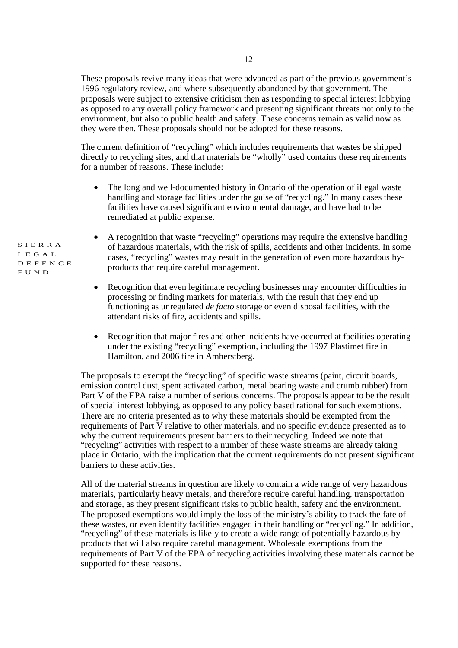These proposals revive many ideas that were advanced as part of the previous government's 1996 regulatory review, and where subsequently abandoned by that government. The proposals were subject to extensive criticism then as responding to special interest lobbying as opposed to any overall policy framework and presenting significant threats not only to the environment, but also to public health and safety. These concerns remain as valid now as they were then. These proposals should not be adopted for these reasons.

The current definition of "recycling" which includes requirements that wastes be shipped directly to recycling sites, and that materials be "wholly" used contains these requirements for a number of reasons. These include:

- The long and well-documented history in Ontario of the operation of illegal waste handling and storage facilities under the guise of "recycling." In many cases these facilities have caused significant environmental damage, and have had to be remediated at public expense.
- A recognition that waste "recycling" operations may require the extensive handling of hazardous materials, with the risk of spills, accidents and other incidents. In some cases, "recycling" wastes may result in the generation of even more hazardous byproducts that require careful management.
- Recognition that even legitimate recycling businesses may encounter difficulties in processing or finding markets for materials, with the result that they end up functioning as unregulated *de facto* storage or even disposal facilities, with the attendant risks of fire, accidents and spills.
- Recognition that major fires and other incidents have occurred at facilities operating under the existing "recycling" exemption, including the 1997 Plastimet fire in Hamilton, and 2006 fire in Amherstberg.

The proposals to exempt the "recycling" of specific waste streams (paint, circuit boards, emission control dust, spent activated carbon, metal bearing waste and crumb rubber) from Part V of the EPA raise a number of serious concerns. The proposals appear to be the result of special interest lobbying, as opposed to any policy based rational for such exemptions. There are no criteria presented as to why these materials should be exempted from the requirements of Part V relative to other materials, and no specific evidence presented as to why the current requirements present barriers to their recycling. Indeed we note that "recycling" activities with respect to a number of these waste streams are already taking place in Ontario, with the implication that the current requirements do not present significant barriers to these activities.

All of the material streams in question are likely to contain a wide range of very hazardous materials, particularly heavy metals, and therefore require careful handling, transportation and storage, as they present significant risks to public health, safety and the environment. The proposed exemptions would imply the loss of the ministry's ability to track the fate of these wastes, or even identify facilities engaged in their handling or "recycling." In addition, "recycling" of these materials is likely to create a wide range of potentially hazardous byproducts that will also require careful management. Wholesale exemptions from the requirements of Part V of the EPA of recycling activities involving these materials cannot be supported for these reasons.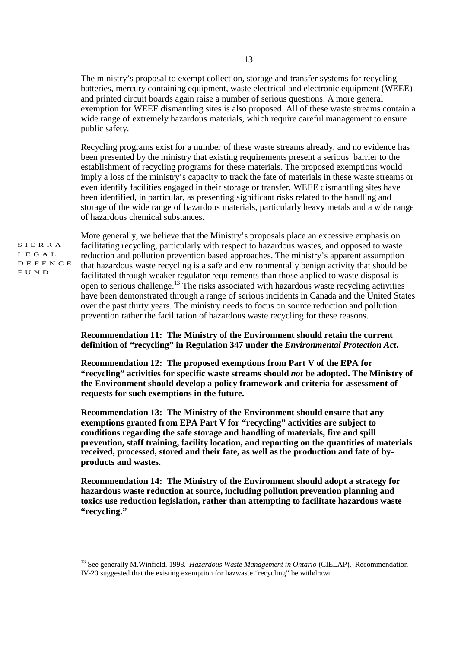The ministry's proposal to exempt collection, storage and transfer systems for recycling batteries, mercury containing equipment, waste electrical and electronic equipment (WEEE) and printed circuit boards again raise a number of serious questions. A more general exemption for WEEE dismantling sites is also proposed. All of these waste streams contain a wide range of extremely hazardous materials, which require careful management to ensure public safety.

Recycling programs exist for a number of these waste streams already, and no evidence has been presented by the ministry that existing requirements present a serious barrier to the establishment of recycling programs for these materials. The proposed exemptions would imply a loss of the ministry's capacity to track the fate of materials in these waste streams or even identify facilities engaged in their storage or transfer. WEEE dismantling sites have been identified, in particular, as presenting significant risks related to the handling and storage of the wide range of hazardous materials, particularly heavy metals and a wide range of hazardous chemical substances.

S I E R R A L E G A L D E F E N C E F U N D

More generally, we believe that the Ministry's proposals place an excessive emphasis on facilitating recycling, particularly with respect to hazardous wastes, and opposed to waste reduction and pollution prevention based approaches. The ministry's apparent assumption that hazardous waste recycling is a safe and environmentally benign activity that should be facilitated through weaker regulator requirements than those applied to waste disposal is open to serious challenge. 13 The risks associated with hazardous waste recycling activities have been demonstrated through a range of serious incidents in Canada and the United States over the past thirty years. The ministry needs to focus on source reduction and pollution prevention rather the facilitation of hazardous waste recycling for these reasons.

## **Recommendation 11: The Ministry of the Environment should retain the current definition of "recycling" in Regulation 347 under the** *Environmental Protection Act***.**

**Recommendation 12: The proposed exemptions from Part V of the EPA for "recycling" activities for specific waste streams should** *not* **be adopted. The Ministry of the Environment should develop a policy framework and criteria for assessment of requests for such exemptions in the future.** 

**Recommendation 13: The Ministry of the Environment should ensure that any exemptions granted from EPA Part V for "recycling" activities are subject to conditions regarding the safe storage and handling of materials, fire and spill prevention, staff training, facility location, and reporting on the quantities of materials received, processed, stored and their fate, as well as the production and fate of byproducts and wastes.** 

**Recommendation 14: The Ministry of the Environment should adopt a strategy for hazardous waste reduction at source, including pollution prevention planning and toxics use reduction legislation, rather than attempting to facilitate hazardous waste "recycling."** 

<sup>13</sup> See generally M.Winfield. 1998. *Hazardous Waste Management in Ontario* (CIELAP). Recommendation IV-20 suggested that the existing exemption for hazwaste "recycling" be withdrawn.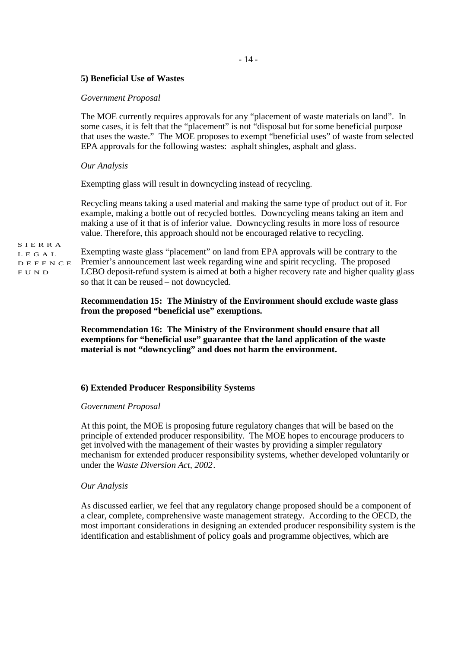## $-14-$

## **5) Beneficial Use of Wastes**

## *Government Proposal*

The MOE currently requires approvals for any "placement of waste materials on land". In some cases, it is felt that the "placement" is not "disposal but for some beneficial purpose that uses the waste." The MOE proposes to exempt "beneficial uses" of waste from selected EPA approvals for the following wastes: asphalt shingles, asphalt and glass.

## *Our Analysis*

Exempting glass will result in downcycling instead of recycling.

Recycling means taking a used material and making the same type of product out of it. For example, making a bottle out of recycled bottles. Downcycling means taking an item and making a use of it that is of inferior value. Downcycling results in more loss of resource value. Therefore, this approach should not be encouraged relative to recycling.

S I E R R A L E G A L D E F E N C E F U N D

Exempting waste glass "placement" on land from EPA approvals will be contrary to the Premier's announcement last week regarding wine and spirit recycling. The proposed LCBO deposit-refund system is aimed at both a higher recovery rate and higher quality glass so that it can be reused – not downcycled.

## **Recommendation 15: The Ministry of the Environment should exclude waste glass from the proposed "beneficial use" exemptions.**

**Recommendation 16: The Ministry of the Environment should ensure that all exemptions for "beneficial use" guarantee that the land application of the waste material is not "downcycling" and does not harm the environment.** 

## **6) Extended Producer Responsibility Systems**

#### *Government Proposal*

At this point, the MOE is proposing future regulatory changes that will be based on the principle of extended producer responsibility. The MOE hopes to encourage producers to get involved with the management of their wastes by providing a simpler regulatory mechanism for extended producer responsibility systems, whether developed voluntarily or under the *Waste Diversion Act, 2002*.

#### *Our Analysis*

As discussed earlier, we feel that any regulatory change proposed should be a component of a clear, complete, comprehensive waste management strategy. According to the OECD, the most important considerations in designing an extended producer responsibility system is the identification and establishment of policy goals and programme objectives, which are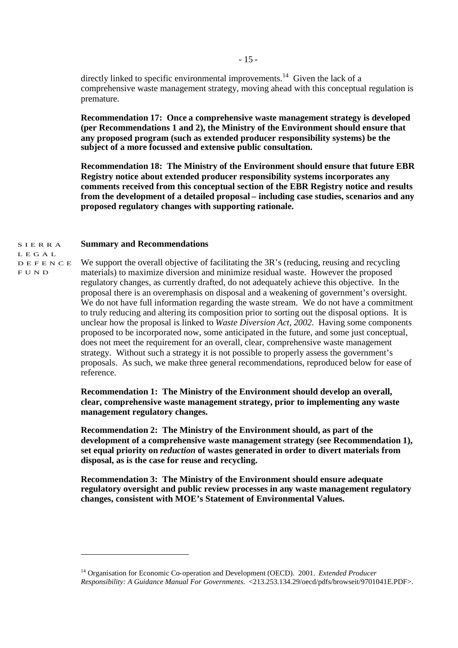directly linked to specific environmental improvements.<sup>14</sup> Given the lack of a comprehensive waste management strategy, moving ahead with this conceptual regulation is premature.

**Recommendation 17: Once a comprehensive waste management strategy is developed (per Recommendations 1 and 2), the Ministry of the Environment should ensure that any proposed program (such as extended producer responsibility systems) be the subject of a more focussed and extensive public consultation.** 

**Recommendation 18: The Ministry of the Environment should ensure that future EBR Registry notice about extended producer responsibility systems incorporates any comments received from this conceptual section of the EBR Registry notice and results from the development of a detailed proposal – including case studies, scenarios and any proposed regulatory changes with supporting rationale.** 

#### S I E R R A **Summary and Recommendations**

L E G A L D E F E N C E F U N D

We support the overall objective of facilitating the 3R's (reducing, reusing and recycling materials) to maximize diversion and minimize residual waste. However the proposed regulatory changes, as currently drafted, do not adequately achieve this objective. In the proposal there is an overemphasis on disposal and a weakening of government's oversight. We do not have full information regarding the waste stream. We do not have a commitment to truly reducing and altering its composition prior to sorting out the disposal options. It is unclear how the proposal is linked to *Waste Diversion Act, 2002*. Having some components proposed to be incorporated now, some anticipated in the future, and some just conceptual, does not meet the requirement for an overall, clear, comprehensive waste management strategy. Without such a strategy it is not possible to properly assess the government's proposals. As such, we make three general recommendations, reproduced below for ease of reference.

**Recommendation 1: The Ministry of the Environment should develop an overall, clear, comprehensive waste management strategy, prior to implementing any waste management regulatory changes.** 

**Recommendation 2: The Ministry of the Environment should, as part of the development of a comprehensive waste management strategy (see Recommendation 1), set equal priority on** *reduction* **of wastes generated in order to divert materials from disposal, as is the case for reuse and recycling.** 

**Recommendation 3: The Ministry of the Environment should ensure adequate regulatory oversight and public review processes in any waste management regulatory changes, consistent with MOE's Statement of Environmental Values.** 

<sup>14</sup> Organisation for Economic Co-operation and Development (OECD). 2001. *Extended Producer Responsibility: A Guidance Manual For Governments*. <213.253.134.29/oecd/pdfs/browseit/9701041E.PDF>.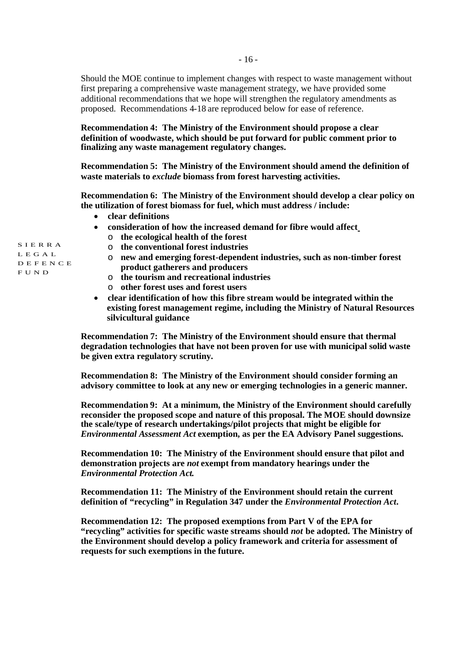Should the MOE continue to implement changes with respect to waste management without first preparing a comprehensive waste management strategy, we have provided some additional recommendations that we hope will strengthen the regulatory amendments as proposed. Recommendations 4-18 are reproduced below for ease of reference.

**Recommendation 4: The Ministry of the Environment should propose a clear definition of woodwaste, which should be put forward for public comment prior to finalizing any waste management regulatory changes.**

**Recommendation 5: The Ministry of the Environment should amend the definition of waste materials to** *exclude* **biomass from forest harvesting activities.**

**Recommendation 6: The Ministry of the Environment should develop a clear policy on the utilization of forest biomass for fuel, which must address / include:**

- **clear definitions**
- **consideration of how the increased demand for fibre would affect**
	- o **the ecological health of the forest**
	- o **the conventional forest industries**
	- o **new and emerging forest-dependent industries, such as non-timber forest product gatherers and producers**
	- o **the tourism and recreational industries**
	- o **other forest uses and forest users**
- **clear identification of how this fibre stream would be integrated within the existing forest management regime, including the Ministry of Natural Resources silvicultural guidance**

**Recommendation 7: The Ministry of the Environment should ensure that thermal degradation technologies that have not been proven for use with municipal solid waste be given extra regulatory scrutiny.**

**Recommendation 8: The Ministry of the Environment should consider forming an advisory committee to look at any new or emerging technologies in a generic manner.**

**Recommendation 9: At a minimum, the Ministry of the Environment should carefully reconsider the proposed scope and nature of this proposal. The MOE should downsize the scale/type of research undertakings/pilot projects that might be eligible for** *Environmental Assessment Act* **exemption, as per the EA Advisory Panel suggestions.**

**Recommendation 10: The Ministry of the Environment should ensure that pilot and demonstration projects are** *not* **exempt from mandatory hearings under the** *Environmental Protection Act***.**

**Recommendation 11: The Ministry of the Environment should retain the current definition of "recycling" in Regulation 347 under the** *Environmental Protection Act***.**

**Recommendation 12: The proposed exemptions from Part V of the EPA for "recycling" activities for specific waste streams should** *not* **be adopted. The Ministry of the Environment should develop a policy framework and criteria for assessment of requests for such exemptions in the future.**